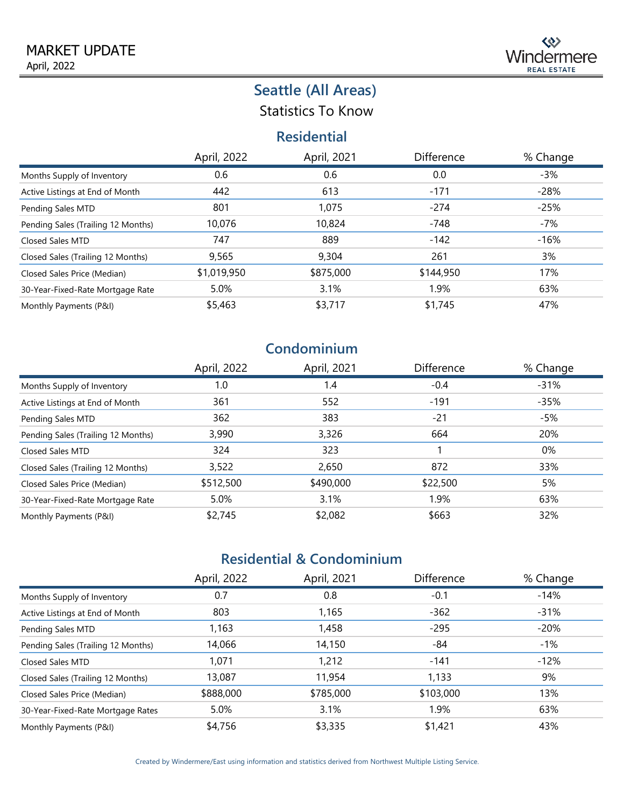Statistics To Know

### **Residential**

|                                    | April, 2022 | April, 2021 | Difference | % Change |
|------------------------------------|-------------|-------------|------------|----------|
| Months Supply of Inventory         | 0.6         | 0.6         | 0.0        | $-3%$    |
| Active Listings at End of Month    | 442         | 613         | $-171$     | $-28%$   |
| Pending Sales MTD                  | 801         | 1,075       | $-274$     | $-25%$   |
| Pending Sales (Trailing 12 Months) | 10,076      | 10,824      | $-748$     | $-7%$    |
| <b>Closed Sales MTD</b>            | 747         | 889         | $-142$     | $-16%$   |
| Closed Sales (Trailing 12 Months)  | 9,565       | 9,304       | 261        | 3%       |
| Closed Sales Price (Median)        | \$1,019,950 | \$875,000   | \$144,950  | 17%      |
| 30-Year-Fixed-Rate Mortgage Rate   | 5.0%        | 3.1%        | 1.9%       | 63%      |
| Monthly Payments (P&I)             | \$5,463     | \$3,717     | \$1,745    | 47%      |

## **Condominium**

|                                    | April, 2022 | April, 2021 | <b>Difference</b> | % Change |
|------------------------------------|-------------|-------------|-------------------|----------|
| Months Supply of Inventory         | 1.0         | 1.4         | $-0.4$            | $-31%$   |
| Active Listings at End of Month    | 361         | 552         | $-191$            | $-35%$   |
| Pending Sales MTD                  | 362         | 383         | $-21$             | -5%      |
| Pending Sales (Trailing 12 Months) | 3,990       | 3,326       | 664               | 20%      |
| Closed Sales MTD                   | 324         | 323         |                   | 0%       |
| Closed Sales (Trailing 12 Months)  | 3,522       | 2,650       | 872               | 33%      |
| Closed Sales Price (Median)        | \$512,500   | \$490,000   | \$22,500          | 5%       |
| 30-Year-Fixed-Rate Mortgage Rate   | 5.0%        | 3.1%        | 1.9%              | 63%      |
| Monthly Payments (P&I)             | \$2,745     | \$2,082     | \$663             | 32%      |

## **Residential & Condominium**

|                                    | April, 2022 | April, 2021 | Difference | % Change |
|------------------------------------|-------------|-------------|------------|----------|
| Months Supply of Inventory         | 0.7         | 0.8         | $-0.1$     | -14%     |
| Active Listings at End of Month    | 803         | 1,165       | $-362$     | $-31%$   |
| Pending Sales MTD                  | 1,163       | 1,458       | $-295$     | $-20%$   |
| Pending Sales (Trailing 12 Months) | 14,066      | 14,150      | -84        | -1%      |
| Closed Sales MTD                   | 1,071       | 1,212       | $-141$     | $-12%$   |
| Closed Sales (Trailing 12 Months)  | 13,087      | 11,954      | 1,133      | 9%       |
| Closed Sales Price (Median)        | \$888,000   | \$785,000   | \$103,000  | 13%      |
| 30-Year-Fixed-Rate Mortgage Rates  | 5.0%        | 3.1%        | 1.9%       | 63%      |
| Monthly Payments (P&I)             | \$4,756     | \$3,335     | \$1,421    | 43%      |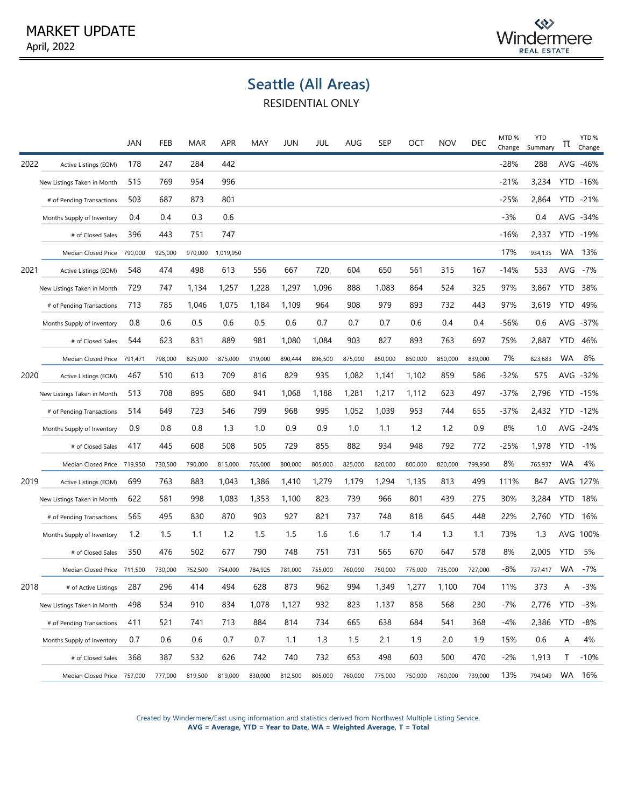

RESIDENTIAL ONLY

|      |                             | JAN     | FEB     | MAR     | APR       | MAY     | JUN     | JUL     | AUG     | SEP     | ОСТ     | <b>NOV</b> | DEC     | MTD%<br>Change | <b>YTD</b><br>Summary | π          | YTD <sub>%</sub><br>Change |
|------|-----------------------------|---------|---------|---------|-----------|---------|---------|---------|---------|---------|---------|------------|---------|----------------|-----------------------|------------|----------------------------|
| 2022 | Active Listings (EOM)       | 178     | 247     | 284     | 442       |         |         |         |         |         |         |            |         | $-28%$         | 288                   | AVG        | -46%                       |
|      | New Listings Taken in Month | 515     | 769     | 954     | 996       |         |         |         |         |         |         |            |         | $-21%$         | 3,234                 |            | YTD -16%                   |
|      | # of Pending Transactions   | 503     | 687     | 873     | 801       |         |         |         |         |         |         |            |         | $-25%$         | 2,864                 |            | YTD -21%                   |
|      | Months Supply of Inventory  | 0.4     | 0.4     | 0.3     | 0.6       |         |         |         |         |         |         |            |         | $-3%$          | 0.4                   |            | AVG -34%                   |
|      | # of Closed Sales           | 396     | 443     | 751     | 747       |         |         |         |         |         |         |            |         | $-16%$         | 2,337                 |            | YTD -19%                   |
|      | Median Closed Price         | 790,000 | 925,000 | 970,000 | 1,019,950 |         |         |         |         |         |         |            |         | 17%            | 934,135               | <b>WA</b>  | 13%                        |
| 2021 | Active Listings (EOM)       | 548     | 474     | 498     | 613       | 556     | 667     | 720     | 604     | 650     | 561     | 315        | 167     | -14%           | 533                   | AVG        | -7%                        |
|      | New Listings Taken in Month | 729     | 747     | 1,134   | 1,257     | 1,228   | 1,297   | 1,096   | 888     | 1,083   | 864     | 524        | 325     | 97%            | 3,867                 | <b>YTD</b> | 38%                        |
|      | # of Pending Transactions   | 713     | 785     | 1,046   | 1,075     | 1,184   | 1,109   | 964     | 908     | 979     | 893     | 732        | 443     | 97%            | 3,619                 | YTD        | 49%                        |
|      | Months Supply of Inventory  | 0.8     | 0.6     | 0.5     | 0.6       | 0.5     | 0.6     | 0.7     | 0.7     | 0.7     | 0.6     | 0.4        | 0.4     | $-56%$         | 0.6                   |            | AVG -37%                   |
|      | # of Closed Sales           | 544     | 623     | 831     | 889       | 981     | 1,080   | 1,084   | 903     | 827     | 893     | 763        | 697     | 75%            | 2,887                 | <b>YTD</b> | 46%                        |
|      | Median Closed Price         | 791,471 | 798,000 | 825,000 | 875,000   | 919,000 | 890,444 | 896,500 | 875,000 | 850,000 | 850,000 | 850,000    | 839,000 | 7%             | 823,683               | <b>WA</b>  | 8%                         |
| 2020 | Active Listings (EOM)       | 467     | 510     | 613     | 709       | 816     | 829     | 935     | 1,082   | 1,141   | 1,102   | 859        | 586     | $-32%$         | 575                   |            | AVG -32%                   |
|      | New Listings Taken in Month | 513     | 708     | 895     | 680       | 941     | 1,068   | 1,188   | 1,281   | 1,217   | 1,112   | 623        | 497     | $-37%$         | 2,796                 |            | YTD -15%                   |
|      | # of Pending Transactions   | 514     | 649     | 723     | 546       | 799     | 968     | 995     | 1,052   | 1,039   | 953     | 744        | 655     | -37%           | 2,432                 |            | YTD -12%                   |
|      | Months Supply of Inventory  | 0.9     | 0.8     | 0.8     | 1.3       | 1.0     | 0.9     | 0.9     | 1.0     | 1.1     | 1.2     | 1.2        | 0.9     | 8%             | 1.0                   |            | AVG -24%                   |
|      | # of Closed Sales           | 417     | 445     | 608     | 508       | 505     | 729     | 855     | 882     | 934     | 948     | 792        | 772     | $-25%$         | 1,978                 | <b>YTD</b> | -1%                        |
|      | Median Closed Price         | 719,950 | 730,500 | 790,000 | 815,000   | 765,000 | 800,000 | 805,000 | 825,000 | 820,000 | 800,000 | 820,000    | 799,950 | 8%             | 765,937               | WA         | 4%                         |
| 2019 | Active Listings (EOM)       | 699     | 763     | 883     | 1,043     | 1,386   | 1,410   | 1,279   | 1,179   | 1,294   | 1,135   | 813        | 499     | 111%           | 847                   |            | AVG 127%                   |
|      | New Listings Taken in Month | 622     | 581     | 998     | 1,083     | 1,353   | 1,100   | 823     | 739     | 966     | 801     | 439        | 275     | 30%            | 3,284                 |            | <b>YTD 18%</b>             |
|      | # of Pending Transactions   | 565     | 495     | 830     | 870       | 903     | 927     | 821     | 737     | 748     | 818     | 645        | 448     | 22%            | 2,760                 | <b>YTD</b> | 16%                        |
|      | Months Supply of Inventory  | 1.2     | 1.5     | 1.1     | 1.2       | 1.5     | 1.5     | 1.6     | 1.6     | 1.7     | 1.4     | 1.3        | 1.1     | 73%            | 1.3                   |            | AVG 100%                   |
|      | # of Closed Sales           | 350     | 476     | 502     | 677       | 790     | 748     | 751     | 731     | 565     | 670     | 647        | 578     | 8%             | 2,005                 | <b>YTD</b> | 5%                         |
|      | Median Closed Price         | 711,500 | 730,000 | 752,500 | 754,000   | 784,925 | 781,000 | 755,000 | 760,000 | 750,000 | 775,000 | 735,000    | 727,000 | -8%            | 737,417               | WA         | -7%                        |
| 2018 | # of Active Listings        | 287     | 296     | 414     | 494       | 628     | 873     | 962     | 994     | 1,349   | 1,277   | 1,100      | 704     | 11%            | 373                   | Α          | $-3%$                      |
|      | New Listings Taken in Month | 498     | 534     | 910     | 834       | 1,078   | 1,127   | 932     | 823     | 1,137   | 858     | 568        | 230     | $-7%$          | 2,776                 | <b>YTD</b> | -3%                        |
|      | # of Pending Transactions   | 411     | 521     | 741     | 713       | 884     | 814     | 734     | 665     | 638     | 684     | 541        | 368     | $-4%$          | 2,386                 | <b>YTD</b> | -8%                        |
|      | Months Supply of Inventory  | 0.7     | 0.6     | 0.6     | 0.7       | 0.7     | 1.1     | 1.3     | 1.5     | 2.1     | 1.9     | 2.0        | 1.9     | 15%            | 0.6                   | Α          | 4%                         |
|      | # of Closed Sales           | 368     | 387     | 532     | 626       | 742     | 740     | 732     | 653     | 498     | 603     | 500        | 470     | $-2%$          | 1,913                 | T          | $-10%$                     |
|      | Median Closed Price 757,000 |         | 777,000 | 819,500 | 819,000   | 830,000 | 812,500 | 805,000 | 760,000 | 775,000 | 750,000 | 760,000    | 739,000 | 13%            | 794,049               |            | WA 16%                     |

Created by Windermere/East using information and statistics derived from Northwest Multiple Listing Service. **AVG = Average, YTD = Year to Date, WA = Weighted Average, T = Total**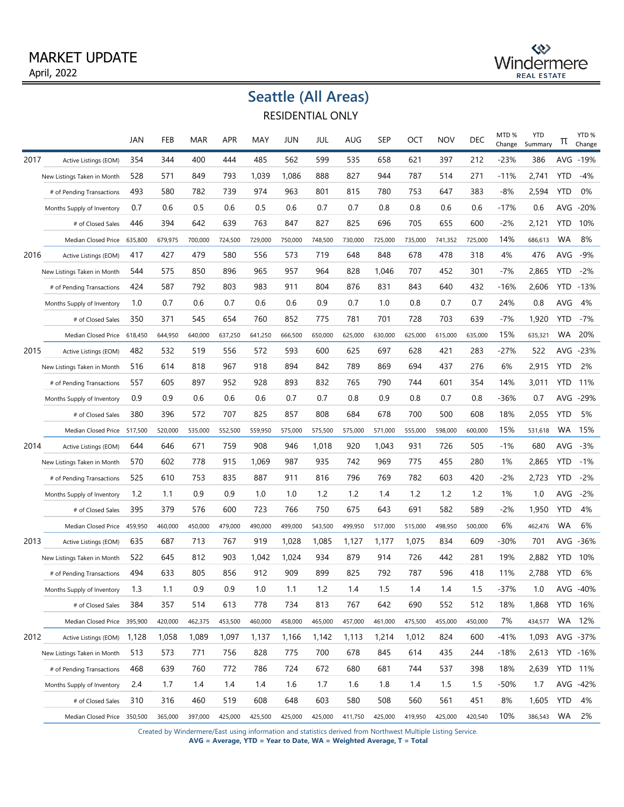#### April, 2022 MARKET UPDATE

# $\Leftrightarrow$ Windermere

# **Seattle (All Areas)**

RESIDENTIAL ONLY

|      |                             | JAN     | FEB     | MAR     | APR     | MAY     | JUN     | JUL     | AUG     | SEP     | OCT     | <b>NOV</b> | DEC     | MTD%<br>Change | <b>YTD</b><br>Summary | Ίt         | YTD <sub>%</sub><br>Change |
|------|-----------------------------|---------|---------|---------|---------|---------|---------|---------|---------|---------|---------|------------|---------|----------------|-----------------------|------------|----------------------------|
| 2017 | Active Listings (EOM)       | 354     | 344     | 400     | 444     | 485     | 562     | 599     | 535     | 658     | 621     | 397        | 212     | -23%           | 386                   |            | AVG -19%                   |
|      | New Listings Taken in Month | 528     | 571     | 849     | 793     | 1,039   | 1,086   | 888     | 827     | 944     | 787     | 514        | 271     | $-11%$         | 2,741                 | <b>YTD</b> | $-4%$                      |
|      | # of Pending Transactions   | 493     | 580     | 782     | 739     | 974     | 963     | 801     | 815     | 780     | 753     | 647        | 383     | $-8%$          | 2,594                 | <b>YTD</b> | 0%                         |
|      | Months Supply of Inventory  | 0.7     | 0.6     | 0.5     | 0.6     | 0.5     | 0.6     | 0.7     | 0.7     | 0.8     | 0.8     | 0.6        | 0.6     | -17%           | 0.6                   | AVG        | $-20%$                     |
|      | # of Closed Sales           | 446     | 394     | 642     | 639     | 763     | 847     | 827     | 825     | 696     | 705     | 655        | 600     | $-2%$          | 2,121                 | <b>YTD</b> | 10%                        |
|      | Median Closed Price         | 635,800 | 679,975 | 700,000 | 724,500 | 729,000 | 750,000 | 748,500 | 730,000 | 725,000 | 735,000 | 741,352    | 725,000 | 14%            | 686,613               | WA         | 8%                         |
| 2016 | Active Listings (EOM)       | 417     | 427     | 479     | 580     | 556     | 573     | 719     | 648     | 848     | 678     | 478        | 318     | 4%             | 476                   | AVG        | $-9%$                      |
|      | New Listings Taken in Month | 544     | 575     | 850     | 896     | 965     | 957     | 964     | 828     | 1,046   | 707     | 452        | 301     | $-7%$          | 2,865                 | <b>YTD</b> | $-2%$                      |
|      | # of Pending Transactions   | 424     | 587     | 792     | 803     | 983     | 911     | 804     | 876     | 831     | 843     | 640        | 432     | -16%           | 2,606                 | YTD        | $-13%$                     |
|      | Months Supply of Inventory  | 1.0     | 0.7     | 0.6     | 0.7     | 0.6     | 0.6     | 0.9     | 0.7     | 1.0     | 0.8     | 0.7        | 0.7     | 24%            | 0.8                   | AVG        | 4%                         |
|      | # of Closed Sales           | 350     | 371     | 545     | 654     | 760     | 852     | 775     | 781     | 701     | 728     | 703        | 639     | $-7%$          | 1,920                 | <b>YTD</b> | $-7%$                      |
|      | Median Closed Price         | 618,450 | 644,950 | 640,000 | 637,250 | 641,250 | 666,500 | 650,000 | 625,000 | 630,000 | 625,000 | 615,000    | 635,000 | 15%            | 635,321               | WA         | 20%                        |
| 2015 | Active Listings (EOM)       | 482     | 532     | 519     | 556     | 572     | 593     | 600     | 625     | 697     | 628     | 421        | 283     | -27%           | 522                   | AVG        | $-23%$                     |
|      | New Listings Taken in Month | 516     | 614     | 818     | 967     | 918     | 894     | 842     | 789     | 869     | 694     | 437        | 276     | 6%             | 2,915                 | <b>YTD</b> | 2%                         |
|      | # of Pending Transactions   | 557     | 605     | 897     | 952     | 928     | 893     | 832     | 765     | 790     | 744     | 601        | 354     | 14%            | 3,011                 | YTD        | 11%                        |
|      | Months Supply of Inventory  | 0.9     | 0.9     | 0.6     | 0.6     | 0.6     | 0.7     | 0.7     | 0.8     | 0.9     | 0.8     | 0.7        | 0.8     | -36%           | 0.7                   | AVG        | -29%                       |
|      | # of Closed Sales           | 380     | 396     | 572     | 707     | 825     | 857     | 808     | 684     | 678     | 700     | 500        | 608     | 18%            | 2,055                 | <b>YTD</b> | 5%                         |
|      | Median Closed Price         | 517,500 | 520,000 | 535,000 | 552,500 | 559,950 | 575,000 | 575,500 | 575,000 | 571,000 | 555,000 | 598,000    | 600,000 | 15%            | 531,618               | WA         | 15%                        |
| 2014 | Active Listings (EOM)       | 644     | 646     | 671     | 759     | 908     | 946     | 1,018   | 920     | 1,043   | 931     | 726        | 505     | $-1%$          | 680                   | AVG        | $-3%$                      |
|      | New Listings Taken in Month | 570     | 602     | 778     | 915     | 1,069   | 987     | 935     | 742     | 969     | 775     | 455        | 280     | 1%             | 2,865                 | <b>YTD</b> | $-1\%$                     |
|      | # of Pending Transactions   | 525     | 610     | 753     | 835     | 887     | 911     | 816     | 796     | 769     | 782     | 603        | 420     | -2%            | 2,723                 | <b>YTD</b> | -2%                        |
|      | Months Supply of Inventory  | 1.2     | 1.1     | 0.9     | 0.9     | 1.0     | 1.0     | 1.2     | 1.2     | 1.4     | 1.2     | 1.2        | 1.2     | 1%             | 1.0                   | AVG        | $-2%$                      |
|      | # of Closed Sales           | 395     | 379     | 576     | 600     | 723     | 766     | 750     | 675     | 643     | 691     | 582        | 589     | -2%            | 1,950                 | <b>YTD</b> | 4%                         |
|      | Median Closed Price         | 459,950 | 460,000 | 450,000 | 479,000 | 490,000 | 499,000 | 543,500 | 499,950 | 517,000 | 515,000 | 498,950    | 500,000 | 6%             | 462,476               | WA         | 6%                         |
| 2013 | Active Listings (EOM)       | 635     | 687     | 713     | 767     | 919     | 1,028   | 1,085   | 1,127   | 1,177   | 1,075   | 834        | 609     | $-30%$         | 701                   | AVG        | $-36%$                     |
|      | New Listings Taken in Month | 522     | 645     | 812     | 903     | 1,042   | 1,024   | 934     | 879     | 914     | 726     | 442        | 281     | 19%            | 2,882                 | <b>YTD</b> | 10%                        |
|      | # of Pending Transactions   | 494     | 633     | 805     | 856     | 912     | 909     | 899     | 825     | 792     | 787     | 596        | 418     | 11%            | 2,788                 | YTD        | 6%                         |
|      | Months Supply of Inventory  | 1.3     | 1.1     | 0.9     | 0.9     | 1.0     | 1.1     | 1.2     | 1.4     | 1.5     | 1.4     | 1.4        | 1.5     | $-37%$         | 1.0                   | AVG        | $-40%$                     |
|      | # of Closed Sales           | 384     | 357     | 514     | 613     | 778     | 734     | 813     | 767     | 642     | 690     | 552        | 512     | 18%            | 1,868                 |            | YTD 16%                    |
|      | Median Closed Price 395,900 |         | 420,000 | 462,375 | 453,500 | 460,000 | 458,000 | 465,000 | 457,000 | 461,000 | 475,500 | 455,000    | 450,000 | 7%             | 434,577               | WA         | 12%                        |
| 2012 | Active Listings (EOM)       | 1,128   | 1,058   | 1,089   | 1,097   | 1,137   | 1,166   | 1,142   | 1,113   | 1,214   | 1,012   | 824        | 600     | $-41%$         | 1,093                 |            | AVG -37%                   |
|      | New Listings Taken in Month | 513     | 573     | 771     | 756     | 828     | 775     | 700     | 678     | 845     | 614     | 435        | 244     | -18%           | 2,613                 |            | YTD -16%                   |
|      | # of Pending Transactions   | 468     | 639     | 760     | 772     | 786     | 724     | 672     | 680     | 681     | 744     | 537        | 398     | 18%            | 2,639                 |            | YTD 11%                    |
|      | Months Supply of Inventory  | 2.4     | 1.7     | 1.4     | 1.4     | 1.4     | 1.6     | 1.7     | 1.6     | 1.8     | 1.4     | 1.5        | 1.5     | -50%           | 1.7                   |            | AVG -42%                   |
|      | # of Closed Sales           | 310     | 316     | 460     | 519     | 608     | 648     | 603     | 580     | 508     | 560     | 561        | 451     | 8%             | 1,605                 | YTD        | 4%                         |
|      | Median Closed Price 350,500 |         | 365,000 | 397,000 | 425,000 | 425,500 | 425,000 | 425,000 | 411,750 | 425,000 | 419,950 | 425,000    | 420,540 | 10%            | 386,543 WA            |            | 2%                         |

Created by Windermere/East using information and statistics derived from Northwest Multiple Listing Service.

**AVG = Average, YTD = Year to Date, WA = Weighted Average, T = Total**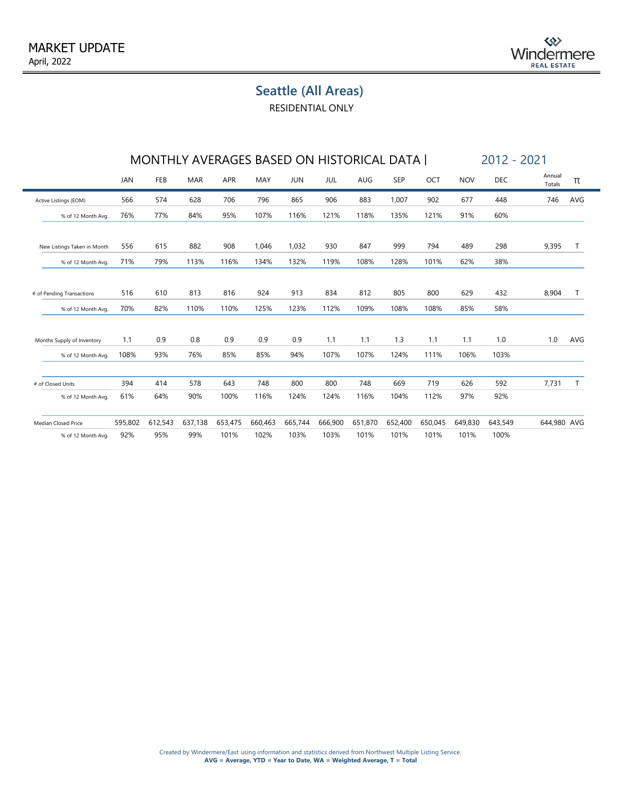RESIDENTIAL ONLY

|                             |            | MONTHLY AVERAGES BASED ON HISTORICAL DATA |            |         |         |            |         |         |            |         |            | 2012 - 2021 |                  |              |  |  |
|-----------------------------|------------|-------------------------------------------|------------|---------|---------|------------|---------|---------|------------|---------|------------|-------------|------------------|--------------|--|--|
|                             | <b>JAN</b> | FEB                                       | <b>MAR</b> | APR     | MAY     | <b>JUN</b> | JUL     | AUG     | <b>SEP</b> | OCT     | <b>NOV</b> | DEC         | Annual<br>Totals | π            |  |  |
| Active Listings (EOM)       | 566        | 574                                       | 628        | 706     | 796     | 865        | 906     | 883     | 1,007      | 902     | 677        | 448         | 746              | AVG          |  |  |
| % of 12 Month Avg.          | 76%        | 77%                                       | 84%        | 95%     | 107%    | 116%       | 121%    | 118%    | 135%       | 121%    | 91%        | 60%         |                  |              |  |  |
| New Listings Taken in Month | 556        | 615                                       | 882        | 908     | 1.046   | 1,032      | 930     | 847     | 999        | 794     | 489        | 298         | 9,395            | $\mathsf{T}$ |  |  |
| % of 12 Month Avg.          | 71%        | 79%                                       | 113%       | 116%    | 134%    | 132%       | 119%    | 108%    | 128%       | 101%    | 62%        | 38%         |                  |              |  |  |
| # of Pending Transactions   | 516        | 610                                       | 813        | 816     | 924     | 913        | 834     | 812     | 805        | 800     | 629        | 432         | 8,904            | Τ            |  |  |
| % of 12 Month Avg.          | 70%        | 82%                                       | 110%       | 110%    | 125%    | 123%       | 112%    | 109%    | 108%       | 108%    | 85%        | 58%         |                  |              |  |  |
| Months Supply of Inventory  | 1.1        | 0.9                                       | 0.8        | 0.9     | 0.9     | 0.9        | 1.1     | 1.1     | 1.3        | 1.1     | 1.1        | 1.0         | 1.0              | AVG          |  |  |
| % of 12 Month Avg.          | 108%       | 93%                                       | 76%        | 85%     | 85%     | 94%        | 107%    | 107%    | 124%       | 111%    | 106%       | 103%        |                  |              |  |  |
| # of Closed Units           | 394        | 414                                       | 578        | 643     | 748     | 800        | 800     | 748     | 669        | 719     | 626        | 592         | 7,731            | T            |  |  |
| % of 12 Month Avg.          | 61%        | 64%                                       | 90%        | 100%    | 116%    | 124%       | 124%    | 116%    | 104%       | 112%    | 97%        | 92%         |                  |              |  |  |
| Median Closed Price         | 595,802    | 612,543                                   | 637,138    | 653,475 | 660,463 | 665,744    | 666,900 | 651,870 | 652,400    | 650,045 | 649,830    | 643,549     | 644,980 AVG      |              |  |  |
| % of 12 Month Avg.          | 92%        | 95%                                       | 99%        | 101%    | 102%    | 103%       | 103%    | 101%    | 101%       | 101%    | 101%       | 100%        |                  |              |  |  |